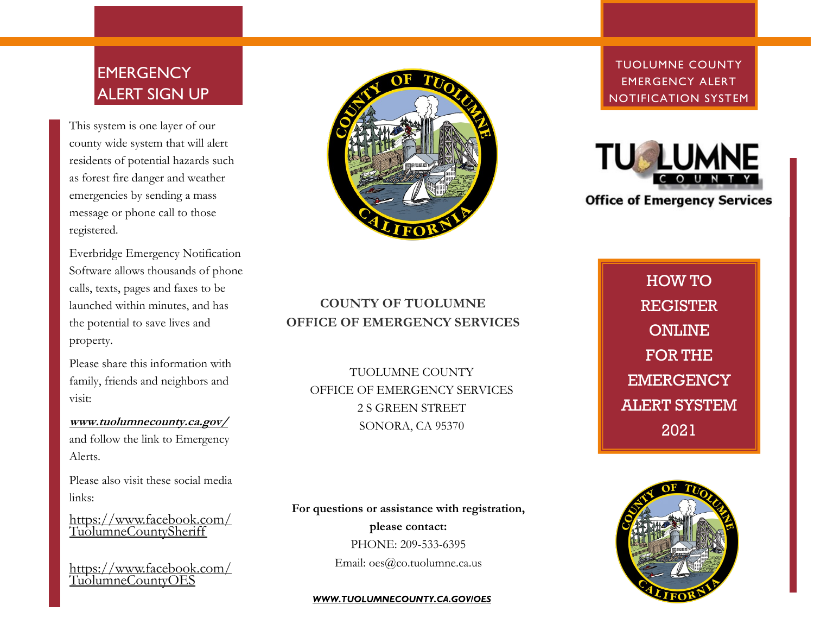# **EMERGENCY** ALERT SIGN UP

This system is one layer of our county wide system that will alert residents of potential hazards such as forest fire danger and weather emergencies by sending a mass message or phone call to those registered.

Everbridge Emergency Notification Software allows thousands of phone calls, texts, pages and faxes to be launched within minutes, and has the potential to save lives and property.

Please share this information with family, friends and neighbors and visit:

**www.tuolumnecounty.ca.gov/** and follow the link to Emergency Alerts.

Please also visit these social media links:

https://www.facebook.com/ TuolumneCountySheriff

https://www.facebook.com/ TuolumneCountyOES



TUOLUMNE COUNTY EMERGENCY ALERT NOTIFICATION SYSTEM



**Office of Emergency Services** 

**COUNTY OF TUOLUMNE OFFICE OF EMERGENCY SERVICES**

TUOLUMNE COUNTY OFFICE OF EMERGENCY SERVICES 2 S GREEN STREET SONORA, CA 95370

HOW TO **REGISTER ONLINE** FOR THE **EMERGENCY** ALERT SYSTEM 2021

**For questions or assistance with registration,** 

**please contact:**

PHONE: 209-533-6395

Email: oes@co.tuolumne.ca.us

#### **WWW.TUOLUMNECOUNTY.CA.GOVIOES**